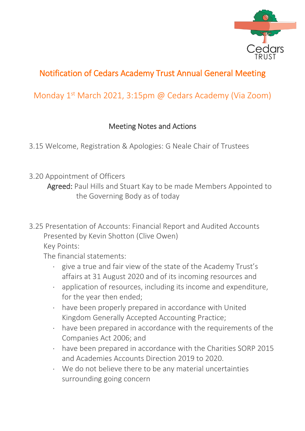

## Notification of Cedars Academy Trust Annual General Meeting

## Monday 1<sup>st</sup> March 2021, 3:15pm @ Cedars Academy (Via Zoom)

## Meeting Notes and Actions

3.15 Welcome, Registration & Apologies: G Neale Chair of Trustees

- 3.20 Appointment of Officers Agreed: Paul Hills and Stuart Kay to be made Members Appointed to the Governing Body as of today
- 3.25 Presentation of Accounts: Financial Report and Audited Accounts Presented by Kevin Shotton (Clive Owen) Key Points:

The financial statements:

- give a true and fair view of the state of the Academy Trust's affairs at 31 August 2020 and of its incoming resources and
- application of resources, including its income and expenditure, for the year then ended;
- have been properly prepared in accordance with United Kingdom Generally Accepted Accounting Practice;
- have been prepared in accordance with the requirements of the Companies Act 2006; and
- have been prepared in accordance with the Charities SORP 2015 and Academies Accounts Direction 2019 to 2020.
- We do not believe there to be any material uncertainties surrounding going concern